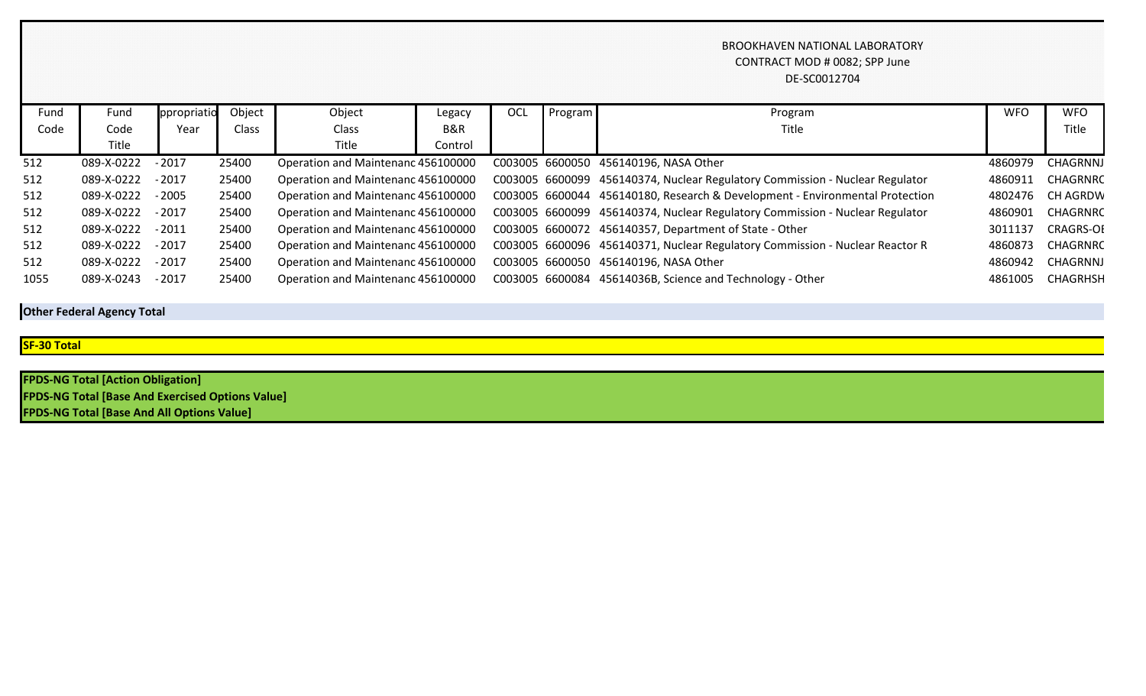## BROOKHAVEN NATIONAL LABORATORY CONTRACT MOD # 0082; SPP June DE-SC0012704

| Fund | Fund       | ppropriatio | Object | Object                             | Legacy         | OCL | Program | Program                                                                      | <b>WFO</b> | <b>WFO</b>       |
|------|------------|-------------|--------|------------------------------------|----------------|-----|---------|------------------------------------------------------------------------------|------------|------------------|
| Code | Code       | Year        | Class  | <b>Class</b>                       | <b>B&amp;R</b> |     |         | Title                                                                        |            | Title            |
|      | Title      |             |        | Title                              | Control        |     |         |                                                                              |            |                  |
| 512  | 089-X-0222 | $-2017$     | 25400  | Operation and Maintenanc 456100000 |                |     |         | C003005 6600050 456140196, NASA Other                                        | 4860979    | CHAGRNNJ         |
| 512  | 089-X-0222 | $-2017$     | 25400  | Operation and Maintenanc 456100000 |                |     |         | C003005 6600099 456140374, Nuclear Regulatory Commission - Nuclear Regulator | 4860911    | CHAGRNRC         |
| 512  | 089-X-0222 | $-2005$     | 25400  | Operation and Maintenanc 456100000 |                |     |         | C003005 6600044 456140180, Research & Development - Environmental Protection | 4802476    | <b>CH AGRDW</b>  |
| 512  | 089-X-0222 | $-2017$     | 25400  | Operation and Maintenanc 456100000 |                |     |         | C003005 6600099 456140374, Nuclear Regulatory Commission - Nuclear Regulator | 4860901    | CHAGRNRC         |
| 512  | 089-X-0222 | $-2011$     | 25400  | Operation and Maintenanc 456100000 |                |     |         | C003005 6600072 456140357, Department of State - Other                       | 3011137    | <b>CRAGRS-OI</b> |
| 512  | 089-X-0222 | $-2017$     | 25400  | Operation and Maintenanc 456100000 |                |     |         | C003005 6600096 456140371, Nuclear Regulatory Commission - Nuclear Reactor R | 4860873    | CHAGRNRC         |
| 512  | 089-X-0222 | $-2017$     | 25400  | Operation and Maintenanc 456100000 |                |     |         | C003005 6600050 456140196, NASA Other                                        | 4860942    | CHAGRNNJ         |
| 1055 | 089-X-0243 | $-2017$     | 25400  | Operation and Maintenanc 456100000 |                |     |         | C003005 6600084 45614036B, Science and Technology - Other                    | 4861005    | CHAGRHSH         |

**Other Federal Agency Total**

**SF-30 Total**

**FPDS-NG Total [Action Obligation] FPDS-NG Total [Base And Exercised Options Value] FPDS-NG Total [Base And All Options Value]**